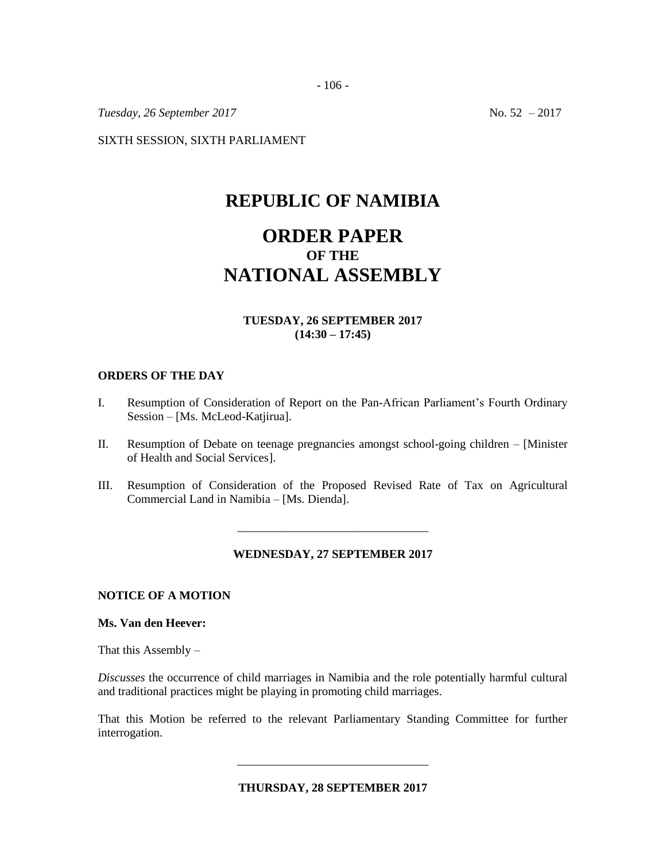- 106 -

*Tuesday, 26 September 2017* No. 52 – 2017

SIXTH SESSION, SIXTH PARLIAMENT

## **REPUBLIC OF NAMIBIA**

# **ORDER PAPER OF THE NATIONAL ASSEMBLY**

## **TUESDAY, 26 SEPTEMBER 2017 (14:30 – 17:45)**

#### **ORDERS OF THE DAY**

- I. Resumption of Consideration of Report on the Pan-African Parliament's Fourth Ordinary Session – [Ms. McLeod-Katjirua].
- II. Resumption of Debate on teenage pregnancies amongst school-going children [Minister of Health and Social Services].
- III. Resumption of Consideration of the Proposed Revised Rate of Tax on Agricultural Commercial Land in Namibia – [Ms. Dienda].

#### **WEDNESDAY, 27 SEPTEMBER 2017**

\_\_\_\_\_\_\_\_\_\_\_\_\_\_\_\_\_\_\_\_\_\_\_\_\_\_\_\_\_\_\_\_

#### **NOTICE OF A MOTION**

#### **Ms. Van den Heever:**

That this Assembly  $-$ 

*Discusses* the occurrence of child marriages in Namibia and the role potentially harmful cultural and traditional practices might be playing in promoting child marriages.

That this Motion be referred to the relevant Parliamentary Standing Committee for further interrogation.

**THURSDAY, 28 SEPTEMBER 2017**

\_\_\_\_\_\_\_\_\_\_\_\_\_\_\_\_\_\_\_\_\_\_\_\_\_\_\_\_\_\_\_\_